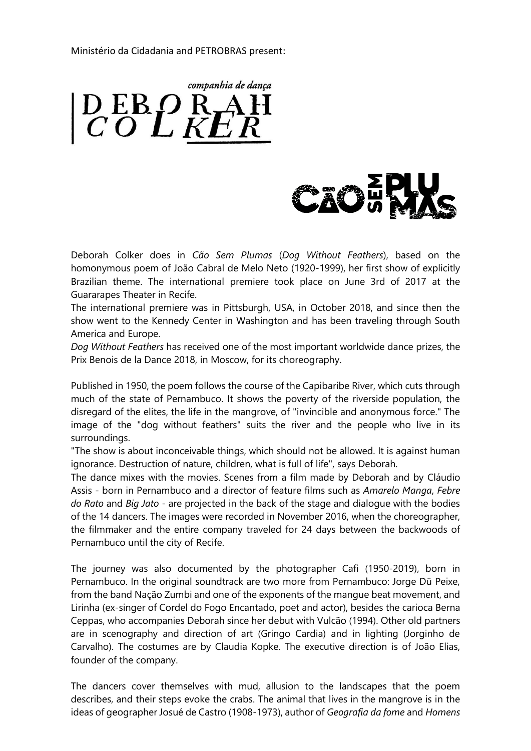Ministério da Cidadania and PETROBRAS present:

companhia de dança  $\left| \begin{smallmatrix} D & E & B & D & R \\ C & O & L & K & E \end{smallmatrix} \right|$ 



Deborah Colker does in *Cão Sem Plumas* (*Dog Without Feathers*), based on the homonymous poem of João Cabral de Melo Neto (1920-1999), her first show of explicitly Brazilian theme. The international premiere took place on June 3rd of 2017 at the Guararapes Theater in Recife.

The international premiere was in Pittsburgh, USA, in October 2018, and since then the show went to the Kennedy Center in Washington and has been traveling through South America and Europe.

*Dog Without Feathers* has received one of the most important worldwide dance prizes, the Prix Benois de la Dance 2018, in Moscow, for its choreography.

Published in 1950, the poem follows the course of the Capibaribe River, which cuts through much of the state of Pernambuco. It shows the poverty of the riverside population, the disregard of the elites, the life in the mangrove, of "invincible and anonymous force." The image of the "dog without feathers" suits the river and the people who live in its surroundings.

"The show is about inconceivable things, which should not be allowed. It is against human ignorance. Destruction of nature, children, what is full of life", says Deborah.

The dance mixes with the movies. Scenes from a film made by Deborah and by Cláudio Assis - born in Pernambuco and a director of feature films such as *Amarelo Manga*, *Febre do Rato* and *Big Jato* - are projected in the back of the stage and dialogue with the bodies of the 14 dancers. The images were recorded in November 2016, when the choreographer, the filmmaker and the entire company traveled for 24 days between the backwoods of Pernambuco until the city of Recife.

The journey was also documented by the photographer Cafi (1950-2019), born in Pernambuco. In the original soundtrack are two more from Pernambuco: Jorge Dü Peixe, from the band Nação Zumbi and one of the exponents of the mangue beat movement, and Lirinha (ex-singer of Cordel do Fogo Encantado, poet and actor), besides the carioca Berna Ceppas, who accompanies Deborah since her debut with Vulcão (1994). Other old partners are in scenography and direction of art (Gringo Cardia) and in lighting (Jorginho de Carvalho). The costumes are by Claudia Kopke. The executive direction is of João Elias, founder of the company.

The dancers cover themselves with mud, allusion to the landscapes that the poem describes, and their steps evoke the crabs. The animal that lives in the mangrove is in the ideas of geographer Josué de Castro (1908-1973), author of *Geografia da fome* and *Homens*